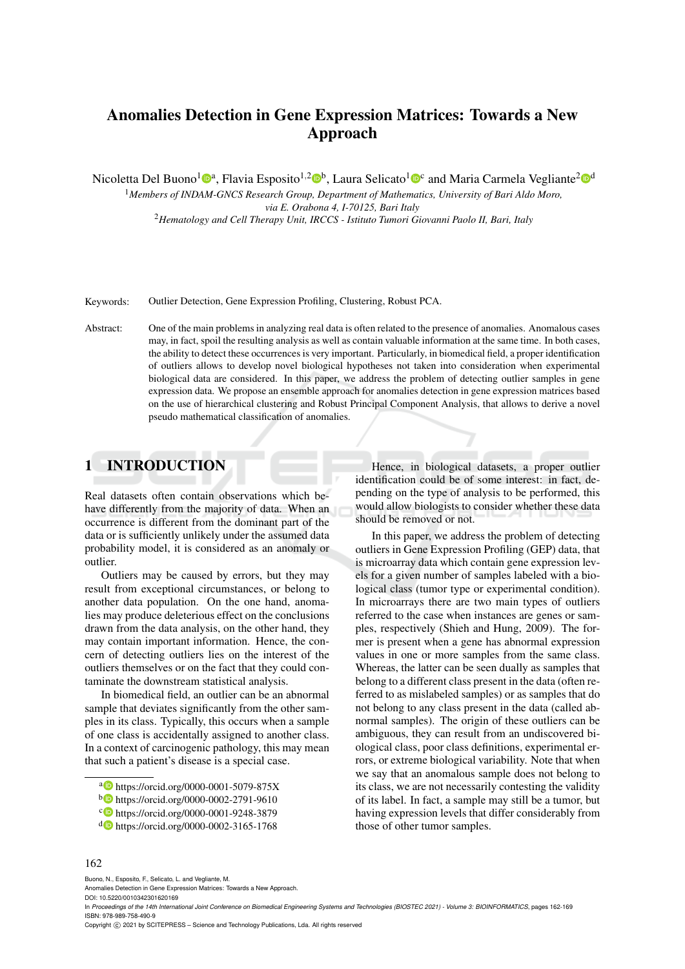# Anomalies Detection in Gene Expression Matrices: Towards a New Approach

Nicoletta Del Buono<sup>1</sup><sup>0</sup>ª, Flavia Esposito<sup>1,2</sup>0<sup>b</sup>, Laura Selicato<sup>1</sup>0<sup>c</sup> and Maria Carmela Vegliante<sup>2</sup>0<sup>d</sup>

<sup>1</sup>*Members of INDAM-GNCS Research Group, Department of Mathematics, University of Bari Aldo Moro, via E. Orabona 4, I-70125, Bari Italy* <sup>2</sup>*Hematology and Cell Therapy Unit, IRCCS - Istituto Tumori Giovanni Paolo II, Bari, Italy*

Keywords: Outlier Detection, Gene Expression Profiling, Clustering, Robust PCA.

Abstract: One of the main problems in analyzing real data is often related to the presence of anomalies. Anomalous cases may, in fact, spoil the resulting analysis as well as contain valuable information at the same time. In both cases, the ability to detect these occurrences is very important. Particularly, in biomedical field, a proper identification of outliers allows to develop novel biological hypotheses not taken into consideration when experimental biological data are considered. In this paper, we address the problem of detecting outlier samples in gene expression data. We propose an ensemble approach for anomalies detection in gene expression matrices based on the use of hierarchical clustering and Robust Principal Component Analysis, that allows to derive a novel pseudo mathematical classification of anomalies.

## 1 INTRODUCTION

Real datasets often contain observations which behave differently from the majority of data. When an occurrence is different from the dominant part of the data or is sufficiently unlikely under the assumed data probability model, it is considered as an anomaly or outlier.

Outliers may be caused by errors, but they may result from exceptional circumstances, or belong to another data population. On the one hand, anomalies may produce deleterious effect on the conclusions drawn from the data analysis, on the other hand, they may contain important information. Hence, the concern of detecting outliers lies on the interest of the outliers themselves or on the fact that they could contaminate the downstream statistical analysis.

In biomedical field, an outlier can be an abnormal sample that deviates significantly from the other samples in its class. Typically, this occurs when a sample of one class is accidentally assigned to another class. In a context of carcinogenic pathology, this may mean that such a patient's disease is a special case.

Hence, in biological datasets, a proper outlier identification could be of some interest: in fact, depending on the type of analysis to be performed, this would allow biologists to consider whether these data should be removed or not.

In this paper, we address the problem of detecting outliers in Gene Expression Profiling (GEP) data, that is microarray data which contain gene expression levels for a given number of samples labeled with a biological class (tumor type or experimental condition). In microarrays there are two main types of outliers referred to the case when instances are genes or samples, respectively (Shieh and Hung, 2009). The former is present when a gene has abnormal expression values in one or more samples from the same class. Whereas, the latter can be seen dually as samples that belong to a different class present in the data (often referred to as mislabeled samples) or as samples that do not belong to any class present in the data (called abnormal samples). The origin of these outliers can be ambiguous, they can result from an undiscovered biological class, poor class definitions, experimental errors, or extreme biological variability. Note that when we say that an anomalous sample does not belong to its class, we are not necessarily contesting the validity of its label. In fact, a sample may still be a tumor, but having expression levels that differ considerably from those of other tumor samples.

#### 162

Buono, N., Esposito, F., Selicato, L. and Vegliante, M.

In Proceedings of the 14th International Joint Conference on Biomedical Engineering Systems and Technologies (BIOSTEC 2021) - Volume 3: BIOINFORMATICS, pages 162-169 ISBN: 978-989-758-490-9

a https://orcid.org/0000-0001-5079-875X

<sup>b</sup> https://orcid.org/0000-0002-2791-9610

c https://orcid.org/0000-0001-9248-3879

<sup>d</sup> https://orcid.org/0000-0002-3165-1768

Anomalies Detection in Gene Expression Matrices: Towards a New Approach.

DOI: 10.5220/0010342301620169

Copyright © 2021 by SCITEPRESS - Science and Technology Publications, Lda. All rights reserved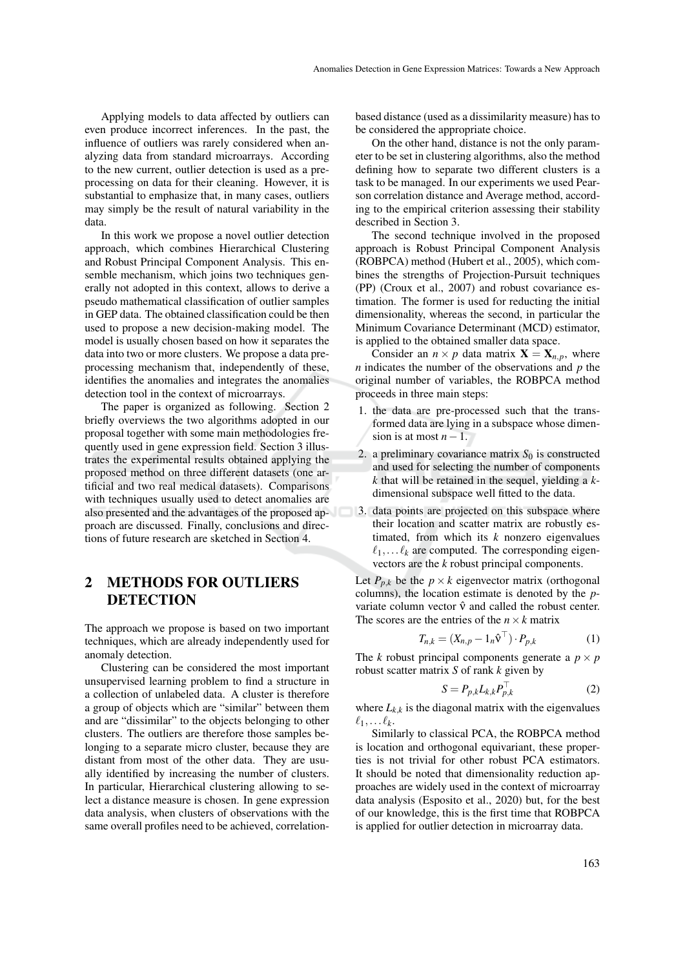Applying models to data affected by outliers can even produce incorrect inferences. In the past, the influence of outliers was rarely considered when analyzing data from standard microarrays. According to the new current, outlier detection is used as a preprocessing on data for their cleaning. However, it is substantial to emphasize that, in many cases, outliers may simply be the result of natural variability in the data.

In this work we propose a novel outlier detection approach, which combines Hierarchical Clustering and Robust Principal Component Analysis. This ensemble mechanism, which joins two techniques generally not adopted in this context, allows to derive a pseudo mathematical classification of outlier samples in GEP data. The obtained classification could be then used to propose a new decision-making model. The model is usually chosen based on how it separates the data into two or more clusters. We propose a data preprocessing mechanism that, independently of these, identifies the anomalies and integrates the anomalies detection tool in the context of microarrays.

The paper is organized as following. Section 2 briefly overviews the two algorithms adopted in our proposal together with some main methodologies frequently used in gene expression field. Section 3 illustrates the experimental results obtained applying the proposed method on three different datasets (one artificial and two real medical datasets). Comparisons with techniques usually used to detect anomalies are also presented and the advantages of the proposed ap- 3. data points are projected on this subspace where proach are discussed. Finally, conclusions and directions of future research are sketched in Section 4.

## 2 METHODS FOR OUTLIERS **DETECTION**

The approach we propose is based on two important techniques, which are already independently used for anomaly detection.

Clustering can be considered the most important unsupervised learning problem to find a structure in a collection of unlabeled data. A cluster is therefore a group of objects which are "similar" between them and are "dissimilar" to the objects belonging to other clusters. The outliers are therefore those samples belonging to a separate micro cluster, because they are distant from most of the other data. They are usually identified by increasing the number of clusters. In particular, Hierarchical clustering allowing to select a distance measure is chosen. In gene expression data analysis, when clusters of observations with the same overall profiles need to be achieved, correlationbased distance (used as a dissimilarity measure) has to be considered the appropriate choice.

On the other hand, distance is not the only parameter to be set in clustering algorithms, also the method defining how to separate two different clusters is a task to be managed. In our experiments we used Pearson correlation distance and Average method, according to the empirical criterion assessing their stability described in Section 3.

The second technique involved in the proposed approach is Robust Principal Component Analysis (ROBPCA) method (Hubert et al., 2005), which combines the strengths of Projection-Pursuit techniques (PP) (Croux et al., 2007) and robust covariance estimation. The former is used for reducting the initial dimensionality, whereas the second, in particular the Minimum Covariance Determinant (MCD) estimator, is applied to the obtained smaller data space.

Consider an  $n \times p$  data matrix  $X = X_{n,p}$ , where *n* indicates the number of the observations and *p* the original number of variables, the ROBPCA method proceeds in three main steps:

- 1. the data are pre-processed such that the transformed data are lying in a subspace whose dimension is at most  $n-1$ .
- 2. a preliminary covariance matrix  $S_0$  is constructed and used for selecting the number of components *k* that will be retained in the sequel, yielding a *k*dimensional subspace well fitted to the data.
- their location and scatter matrix are robustly estimated, from which its *k* nonzero eigenvalues  $\ell_1, \ldots \ell_k$  are computed. The corresponding eigenvectors are the *k* robust principal components.

Let  $P_{p,k}$  be the  $p \times k$  eigenvector matrix (orthogonal columns), the location estimate is denoted by the *p*variate column vector  $\hat{v}$  and called the robust center. The scores are the entries of the  $n \times k$  matrix

$$
T_{n,k} = (X_{n,p} - 1_n \hat{\mathbf{v}}^\top) \cdot P_{p,k} \tag{1}
$$

The *k* robust principal components generate a  $p \times p$ robust scatter matrix *S* of rank *k* given by

$$
S = P_{p,k} L_{k,k} P_{p,k}^{\top}
$$
 (2)

where  $L_{k,k}$  is the diagonal matrix with the eigenvalues  $\ell_1,\ldots \ell_k$ .

Similarly to classical PCA, the ROBPCA method is location and orthogonal equivariant, these properties is not trivial for other robust PCA estimators. It should be noted that dimensionality reduction approaches are widely used in the context of microarray data analysis (Esposito et al., 2020) but, for the best of our knowledge, this is the first time that ROBPCA is applied for outlier detection in microarray data.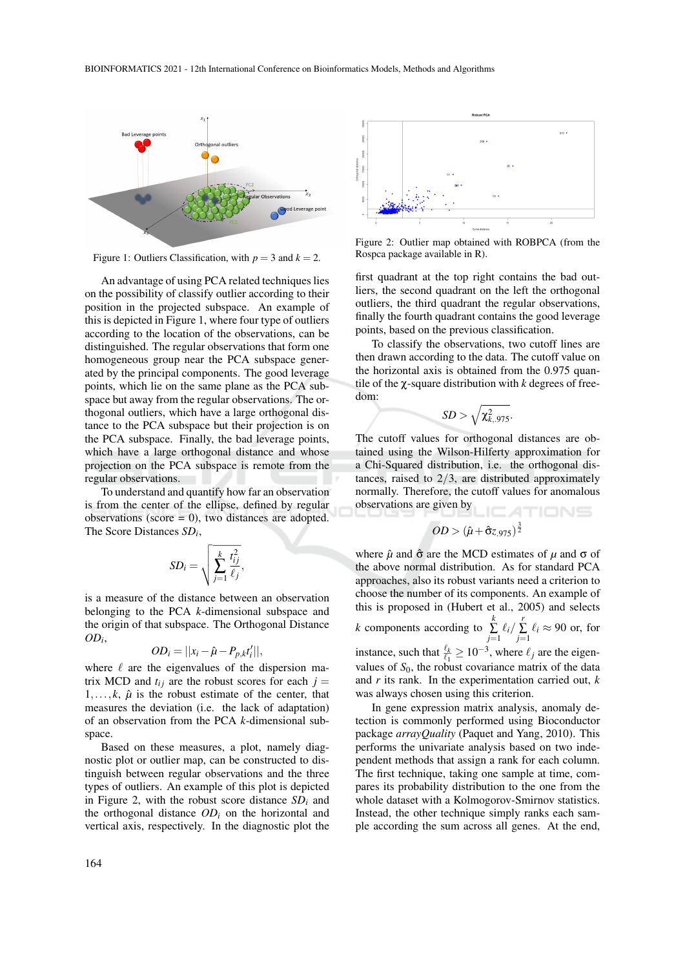

Figure 1: Outliers Classification, with  $p = 3$  and  $k = 2$ .

An advantage of using PCA related techniques lies on the possibility of classify outlier according to their position in the projected subspace. An example of this is depicted in Figure 1, where four type of outliers according to the location of the observations, can be distinguished. The regular observations that form one homogeneous group near the PCA subspace generated by the principal components. The good leverage points, which lie on the same plane as the PCA subspace but away from the regular observations. The orthogonal outliers, which have a large orthogonal distance to the PCA subspace but their projection is on the PCA subspace. Finally, the bad leverage points, which have a large orthogonal distance and whose projection on the PCA subspace is remote from the regular observations.

To understand and quantify how far an observation is from the center of the ellipse, defined by regular observations (score  $= 0$ ), two distances are adopted. The Score Distances *SD<sup>i</sup>* ,

$$
SD_i = \sqrt{\sum_{j=1}^k \frac{t_{ij}^2}{\ell_j}},
$$

is a measure of the distance between an observation belonging to the PCA *k*-dimensional subspace and the origin of that subspace. The Orthogonal Distance  $OD_i$ 

$$
OD_i = ||x_i - \hat{\mu} - P_{p,k}t'_i||,
$$

where  $\ell$  are the eigenvalues of the dispersion matrix MCD and  $t_{ij}$  are the robust scores for each  $j =$  $1, \ldots, k$ ,  $\hat{\mu}$  is the robust estimate of the center, that measures the deviation (i.e. the lack of adaptation) of an observation from the PCA *k*-dimensional subspace.

Based on these measures, a plot, namely diagnostic plot or outlier map, can be constructed to distinguish between regular observations and the three types of outliers. An example of this plot is depicted in Figure 2, with the robust score distance *SD<sup>i</sup>* and the orthogonal distance *OD<sup>i</sup>* on the horizontal and vertical axis, respectively. In the diagnostic plot the



Figure 2: Outlier map obtained with ROBPCA (from the Rospca package available in R).

first quadrant at the top right contains the bad outliers, the second quadrant on the left the orthogonal outliers, the third quadrant the regular observations, finally the fourth quadrant contains the good leverage points, based on the previous classification.

To classify the observations, two cutoff lines are then drawn according to the data. The cutoff value on the horizontal axis is obtained from the 0.975 quantile of the χ-square distribution with *k* degrees of freedom:

$$
SD > \sqrt{\chi^2_{k,.975}}.
$$

The cutoff values for orthogonal distances are obtained using the Wilson-Hilferty approximation for a Chi-Squared distribution, i.e. the orthogonal distances, raised to  $2/3$ , are distributed approximately normally. Therefore, the cutoff values for anomalous observations are given by

$$
OD > (\hat{\mu} + \hat{\sigma}z_{.975})^{\frac{3}{2}}
$$

where  $\hat{\mu}$  and  $\hat{\sigma}$  are the MCD estimates of  $\mu$  and  $\sigma$  of the above normal distribution. As for standard PCA approaches, also its robust variants need a criterion to choose the number of its components. An example of this is proposed in (Hubert et al., 2005) and selects

*k* components according to  $\sum_{k=1}^{k}$  $\sum_{j=1}^k \ell_i / \sum_{j=1}^r$  $\sum_{j=1} \ell_i \approx 90$  or, for instance, such that  $\frac{\ell_k}{\ell_1} \ge 10^{-3}$ , where  $\ell_j$  are the eigenvalues of  $S_0$ , the robust covariance matrix of the data and *r* its rank. In the experimentation carried out, *k* was always chosen using this criterion.

In gene expression matrix analysis, anomaly detection is commonly performed using Bioconductor package *arrayQuality* (Paquet and Yang, 2010). This performs the univariate analysis based on two independent methods that assign a rank for each column. The first technique, taking one sample at time, compares its probability distribution to the one from the whole dataset with a Kolmogorov-Smirnov statistics. Instead, the other technique simply ranks each sample according the sum across all genes. At the end,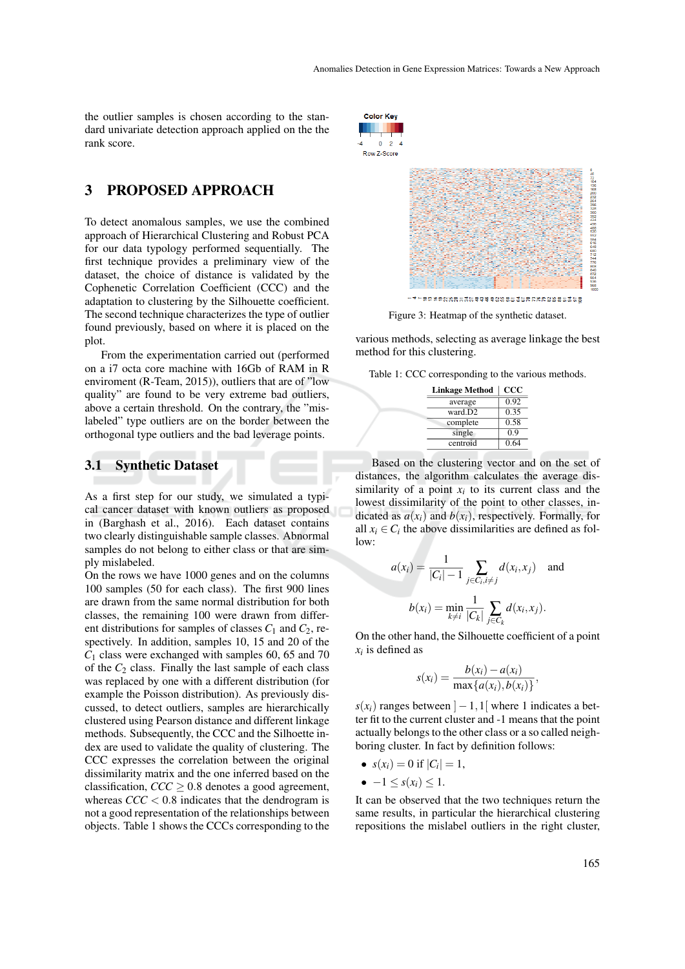the outlier samples is chosen according to the standard univariate detection approach applied on the the rank score.

### 3 PROPOSED APPROACH

To detect anomalous samples, we use the combined approach of Hierarchical Clustering and Robust PCA for our data typology performed sequentially. The first technique provides a preliminary view of the dataset, the choice of distance is validated by the Cophenetic Correlation Coefficient (CCC) and the adaptation to clustering by the Silhouette coefficient. The second technique characterizes the type of outlier found previously, based on where it is placed on the plot.

From the experimentation carried out (performed on a i7 octa core machine with 16Gb of RAM in R enviroment (R-Team, 2015)), outliers that are of "low quality" are found to be very extreme bad outliers, above a certain threshold. On the contrary, the "mislabeled" type outliers are on the border between the orthogonal type outliers and the bad leverage points.

#### 3.1 Synthetic Dataset

As a first step for our study, we simulated a typical cancer dataset with known outliers as proposed in (Barghash et al., 2016). Each dataset contains two clearly distinguishable sample classes. Abnormal samples do not belong to either class or that are simply mislabeled.

On the rows we have 1000 genes and on the columns 100 samples (50 for each class). The first 900 lines are drawn from the same normal distribution for both classes, the remaining 100 were drawn from different distributions for samples of classes  $C_1$  and  $C_2$ , respectively. In addition, samples 10, 15 and 20 of the *C*<sup>1</sup> class were exchanged with samples 60, 65 and 70 of the  $C_2$  class. Finally the last sample of each class was replaced by one with a different distribution (for example the Poisson distribution). As previously discussed, to detect outliers, samples are hierarchically clustered using Pearson distance and different linkage methods. Subsequently, the CCC and the Silhoette index are used to validate the quality of clustering. The CCC expresses the correlation between the original dissimilarity matrix and the one inferred based on the classification,  $\text{CC} \geq 0.8$  denotes a good agreement, whereas  $\text{CCC} < 0.8$  indicates that the dendrogram is not a good representation of the relationships between objects. Table 1 shows the CCCs corresponding to the



Figure 3: Heatmap of the synthetic dataset.

various methods, selecting as average linkage the best method for this clustering.

|  |  |  |  |  |  | Table 1: CCC corresponding to the various methods. |
|--|--|--|--|--|--|----------------------------------------------------|
|--|--|--|--|--|--|----------------------------------------------------|

| <b>Linkage Method</b> | $_{\rm ccc}$ |
|-----------------------|--------------|
| average               | 0.92         |
| ward.D2               | 0.35         |
| complete              | 0.58         |
| single                | 0.9          |
| centroid              | 0.64         |

Based on the clustering vector and on the set of distances, the algorithm calculates the average dissimilarity of a point  $x_i$  to its current class and the lowest dissimilarity of the point to other classes, indicated as  $a(x_i)$  and  $b(x_i)$ , respectively. Formally, for all  $x_i \in C_i$  the above dissimilarities are defined as follow:

$$
a(x_i) = \frac{1}{|C_i| - 1} \sum_{j \in C_i, i \neq j} d(x_i, x_j) \text{ and}
$$

$$
b(x_i) = \min_{k \neq i} \frac{1}{|C_k|} \sum_{j \in C_k} d(x_i, x_j).
$$

On the other hand, the Silhouette coefficient of a point  $x_i$  is defined as

$$
s(x_i) = \frac{b(x_i) - a(x_i)}{\max\{a(x_i), b(x_i)\}},
$$

 $s(x_i)$  ranges between  $]-1,1[$  where 1 indicates a better fit to the current cluster and -1 means that the point actually belongs to the other class or a so called neighboring cluster. In fact by definition follows:

•  $s(x_i) = 0$  if  $|C_i| = 1$ ,

$$
-1 \leq s(x_i) \leq 1.
$$

It can be observed that the two techniques return the same results, in particular the hierarchical clustering repositions the mislabel outliers in the right cluster,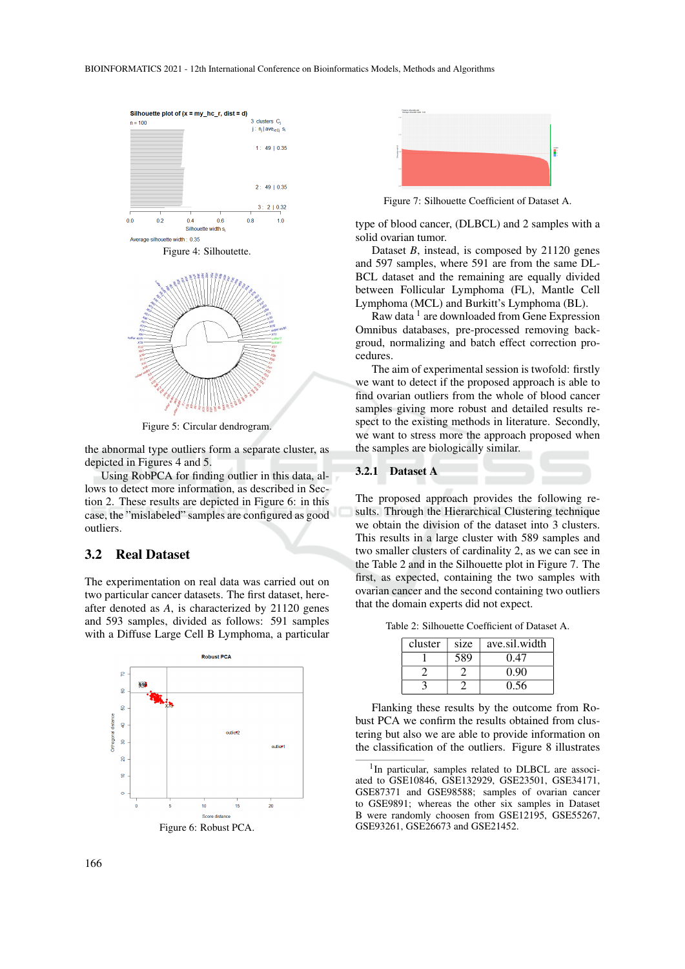

Figure 5: Circular dendrogram.

the abnormal type outliers form a separate cluster, as depicted in Figures 4 and 5.

Using RobPCA for finding outlier in this data, allows to detect more information, as described in Section 2. These results are depicted in Figure 6: in this case, the "mislabeled" samples are configured as good outliers.

#### 3.2 Real Dataset

The experimentation on real data was carried out on two particular cancer datasets. The first dataset, hereafter denoted as *A*, is characterized by 21120 genes and 593 samples, divided as follows: 591 samples with a Diffuse Large Cell B Lymphoma, a particular



Figure 6: Robust PCA.



Figure 7: Silhouette Coefficient of Dataset A.

type of blood cancer, (DLBCL) and 2 samples with a solid ovarian tumor.

Dataset *B*, instead, is composed by 21120 genes and 597 samples, where 591 are from the same DL-BCL dataset and the remaining are equally divided between Follicular Lymphoma (FL), Mantle Cell Lymphoma (MCL) and Burkitt's Lymphoma (BL).

Raw data<sup>1</sup> are downloaded from Gene Expression Omnibus databases, pre-processed removing backgroud, normalizing and batch effect correction procedures.

The aim of experimental session is twofold: firstly we want to detect if the proposed approach is able to find ovarian outliers from the whole of blood cancer samples giving more robust and detailed results respect to the existing methods in literature. Secondly, we want to stress more the approach proposed when the samples are biologically similar.

#### 3.2.1 Dataset A

The proposed approach provides the following results. Through the Hierarchical Clustering technique we obtain the division of the dataset into 3 clusters. This results in a large cluster with 589 samples and two smaller clusters of cardinality 2, as we can see in the Table 2 and in the Silhouette plot in Figure 7. The first, as expected, containing the two samples with ovarian cancer and the second containing two outliers that the domain experts did not expect.

Table 2: Silhouette Coefficient of Dataset A.

| cluster | size | ave.sil.width |
|---------|------|---------------|
|         | 589  | 0.47          |
|         |      | 0.90          |
|         |      | 0.56          |

Flanking these results by the outcome from Robust PCA we confirm the results obtained from clustering but also we are able to provide information on the classification of the outliers. Figure 8 illustrates

<sup>&</sup>lt;sup>1</sup>In particular, samples related to DLBCL are associated to GSE10846, GSE132929, GSE23501, GSE34171, GSE87371 and GSE98588; samples of ovarian cancer to GSE9891; whereas the other six samples in Dataset B were randomly choosen from GSE12195, GSE55267, GSE93261, GSE26673 and GSE21452.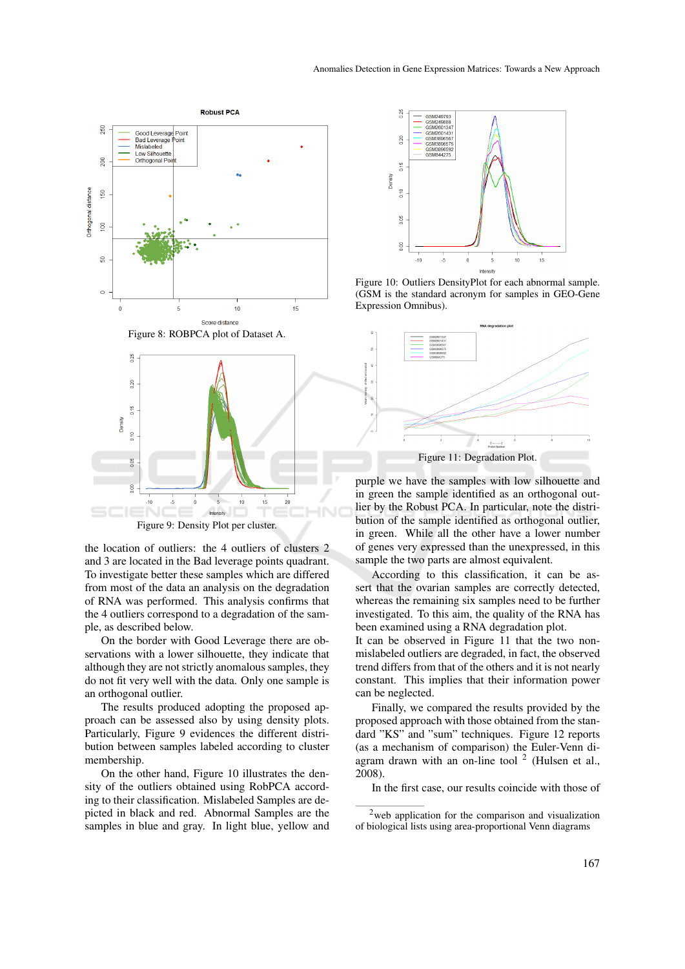

Figure 9: Density Plot per cluster.

the location of outliers: the 4 outliers of clusters 2 and 3 are located in the Bad leverage points quadrant. To investigate better these samples which are differed from most of the data an analysis on the degradation of RNA was performed. This analysis confirms that the 4 outliers correspond to a degradation of the sample, as described below.

On the border with Good Leverage there are observations with a lower silhouette, they indicate that although they are not strictly anomalous samples, they do not fit very well with the data. Only one sample is an orthogonal outlier.

The results produced adopting the proposed approach can be assessed also by using density plots. Particularly, Figure 9 evidences the different distribution between samples labeled according to cluster membership.

On the other hand, Figure 10 illustrates the density of the outliers obtained using RobPCA according to their classification. Mislabeled Samples are depicted in black and red. Abnormal Samples are the samples in blue and gray. In light blue, yellow and



Figure 10: Outliers DensityPlot for each abnormal sample. (GSM is the standard acronym for samples in GEO-Gene Expression Omnibus).



purple we have the samples with low silhouette and in green the sample identified as an orthogonal outlier by the Robust PCA. In particular, note the distribution of the sample identified as orthogonal outlier, in green. While all the other have a lower number of genes very expressed than the unexpressed, in this sample the two parts are almost equivalent.

According to this classification, it can be assert that the ovarian samples are correctly detected, whereas the remaining six samples need to be further investigated. To this aim, the quality of the RNA has been examined using a RNA degradation plot.

It can be observed in Figure 11 that the two nonmislabeled outliers are degraded, in fact, the observed trend differs from that of the others and it is not nearly constant. This implies that their information power can be neglected.

Finally, we compared the results provided by the proposed approach with those obtained from the standard "KS" and "sum" techniques. Figure 12 reports (as a mechanism of comparison) the Euler-Venn diagram drawn with an on-line tool  $2$  (Hulsen et al., 2008).

In the first case, our results coincide with those of

<sup>2</sup>web application for the comparison and visualization of biological lists using area-proportional Venn diagrams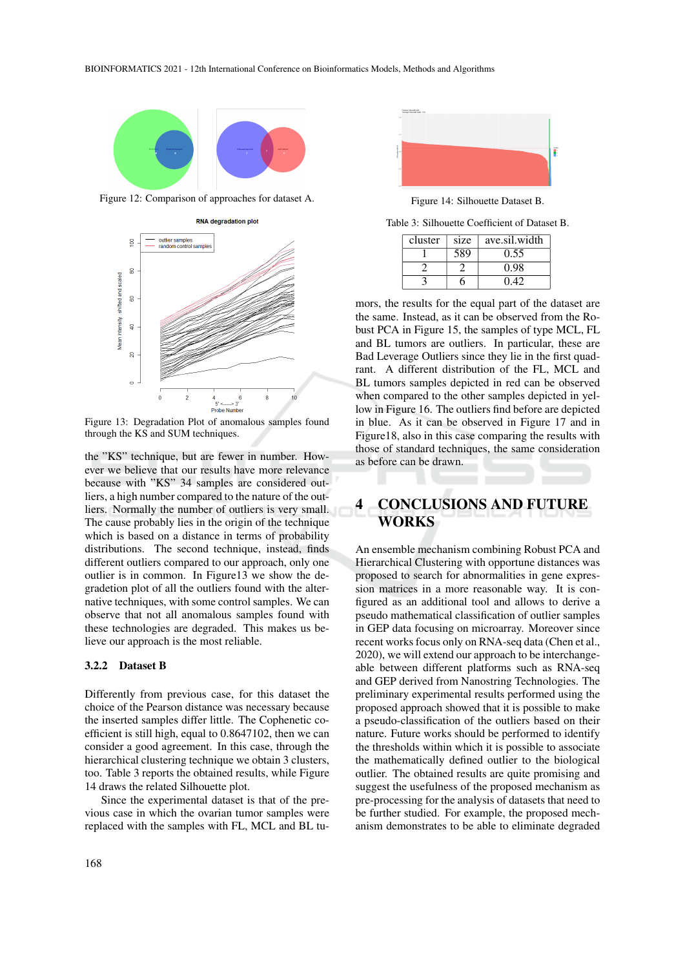

Figure 12: Comparison of approaches for dataset A.



Figure 13: Degradation Plot of anomalous samples found through the KS and SUM techniques.

the "KS" technique, but are fewer in number. However we believe that our results have more relevance because with "KS" 34 samples are considered outliers, a high number compared to the nature of the outliers. Normally the number of outliers is very small. The cause probably lies in the origin of the technique which is based on a distance in terms of probability distributions. The second technique, instead, finds different outliers compared to our approach, only one outlier is in common. In Figure13 we show the degradetion plot of all the outliers found with the alternative techniques, with some control samples. We can observe that not all anomalous samples found with these technologies are degraded. This makes us believe our approach is the most reliable.

#### 3.2.2 Dataset B

Differently from previous case, for this dataset the choice of the Pearson distance was necessary because the inserted samples differ little. The Cophenetic coefficient is still high, equal to 0.8647102, then we can consider a good agreement. In this case, through the hierarchical clustering technique we obtain 3 clusters, too. Table 3 reports the obtained results, while Figure 14 draws the related Silhouette plot.

Since the experimental dataset is that of the previous case in which the ovarian tumor samples were replaced with the samples with FL, MCL and BL tu-



Figure 14: Silhouette Dataset B.

Table 3: Silhouette Coefficient of Dataset B.

| cluster | size | ave.sil.width |
|---------|------|---------------|
|         | 589  | 0.55          |
|         |      | 0.98          |
|         |      | 0.42          |

mors, the results for the equal part of the dataset are the same. Instead, as it can be observed from the Robust PCA in Figure 15, the samples of type MCL, FL and BL tumors are outliers. In particular, these are Bad Leverage Outliers since they lie in the first quadrant. A different distribution of the FL, MCL and BL tumors samples depicted in red can be observed when compared to the other samples depicted in yellow in Figure 16. The outliers find before are depicted in blue. As it can be observed in Figure 17 and in Figure18, also in this case comparing the results with those of standard techniques, the same consideration as before can be drawn.

## 4 CONCLUSIONS AND FUTURE WORKS

An ensemble mechanism combining Robust PCA and Hierarchical Clustering with opportune distances was proposed to search for abnormalities in gene expression matrices in a more reasonable way. It is configured as an additional tool and allows to derive a pseudo mathematical classification of outlier samples in GEP data focusing on microarray. Moreover since recent works focus only on RNA-seq data (Chen et al., 2020), we will extend our approach to be interchangeable between different platforms such as RNA-seq and GEP derived from Nanostring Technologies. The preliminary experimental results performed using the proposed approach showed that it is possible to make a pseudo-classification of the outliers based on their nature. Future works should be performed to identify the thresholds within which it is possible to associate the mathematically defined outlier to the biological outlier. The obtained results are quite promising and suggest the usefulness of the proposed mechanism as pre-processing for the analysis of datasets that need to be further studied. For example, the proposed mechanism demonstrates to be able to eliminate degraded